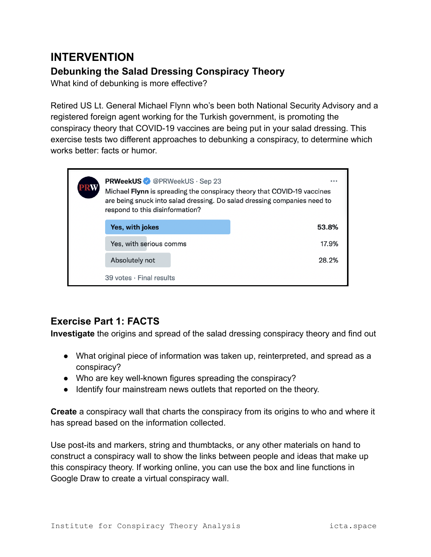# **INTERVENTION**

## **Debunking the Salad Dressing Conspiracy Theory**

What kind of debunking is more effective?

Retired US Lt. General Michael Flynn who's been both National Security Advisory and a registered foreign agent working for the Turkish government, is promoting the conspiracy theory that COVID-19 vaccines are being put in your salad dressing. This exercise tests two different approaches to debunking a conspiracy, to determine which works better: facts or humor.

|                                  | <b>PRWeekUS</b> @PRWeekUS · Sep 23<br>Michael Flynn is spreading the conspiracy theory that COVID-19 vaccines<br>are being snuck into salad dressing. Do salad dressing companies need to<br>respond to this disinformation? |  |  | $- - -$ |
|----------------------------------|------------------------------------------------------------------------------------------------------------------------------------------------------------------------------------------------------------------------------|--|--|---------|
|                                  | Yes, with jokes                                                                                                                                                                                                              |  |  | 53.8%   |
|                                  | Yes, with serious comms                                                                                                                                                                                                      |  |  | 17.9%   |
|                                  | Absolutely not                                                                                                                                                                                                               |  |  | 28.2%   |
| $39$ votes $\cdot$ Final results |                                                                                                                                                                                                                              |  |  |         |

## **Exercise Part 1: FACTS**

**Investigate** the origins and spread of the salad dressing conspiracy theory and find out

- What original piece of information was taken up, reinterpreted, and spread as a conspiracy?
- Who are key well-known figures spreading the conspiracy?
- Identify four mainstream news outlets that reported on the theory.

**Create** a conspiracy wall that charts the conspiracy from its origins to who and where it has spread based on the information collected.

Use post-its and markers, string and thumbtacks, or any other materials on hand to construct a conspiracy wall to show the links between people and ideas that make up this conspiracy theory. If working online, you can use the box and line functions in Google Draw to create a virtual conspiracy wall.